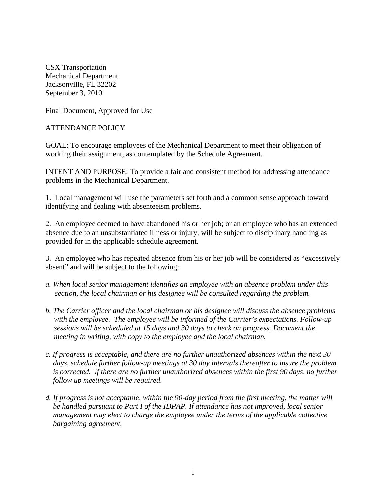CSX Transportation Mechanical Department Jacksonville, FL 32202 September 3, 2010

Final Document, Approved for Use

### ATTENDANCE POLICY

GOAL: To encourage employees of the Mechanical Department to meet their obligation of working their assignment, as contemplated by the Schedule Agreement.

INTENT AND PURPOSE: To provide a fair and consistent method for addressing attendance problems in the Mechanical Department.

1. Local management will use the parameters set forth and a common sense approach toward identifying and dealing with absenteeism problems.

2. An employee deemed to have abandoned his or her job; or an employee who has an extended absence due to an unsubstantiated illness or injury, will be subject to disciplinary handling as provided for in the applicable schedule agreement.

3. An employee who has repeated absence from his or her job will be considered as "excessively absent" and will be subject to the following:

- *a. When local senior management identifies an employee with an absence problem under this section, the local chairman or his designee will be consulted regarding the problem.*
- *b. The Carrier officer and the local chairman or his designee will discuss the absence problems with the employee. The employee will be informed of the Carrier's expectations. Follow-up sessions will be scheduled at 15 days and 30 days to check on progress. Document the meeting in writing, with copy to the employee and the local chairman.*
- *c. If progress is acceptable, and there are no further unauthorized absences within the next 30 days, schedule further follow-up meetings at 30 day intervals thereafter to insure the problem*  is corrected. If there are no further unauthorized absences within the first 90 days, no further  *follow up meetings will be required.*
- *d. If progress is not acceptable, within the 90-day period from the first meeting, the matter will be handled pursuant to Part I of the IDPAP. If attendance has not improved, local senior management may elect to charge the employee under the terms of the applicable collective bargaining agreement.*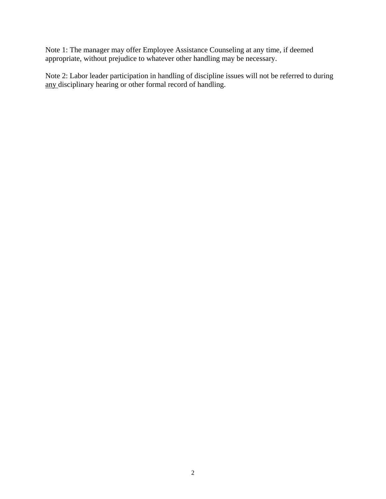Note 1: The manager may offer Employee Assistance Counseling at any time, if deemed appropriate, without prejudice to whatever other handling may be necessary.

Note 2: Labor leader participation in handling of discipline issues will not be referred to during any disciplinary hearing or other formal record of handling.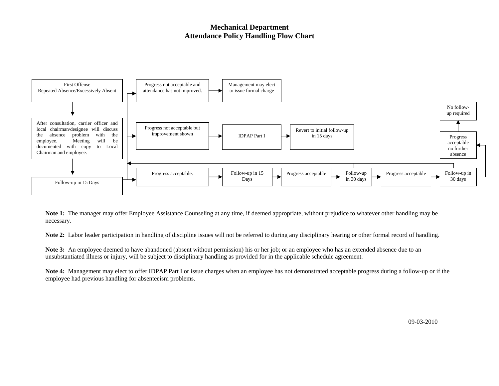#### **Mechanical Department Attendance Policy Handling Flow Chart**



**Note 1:** The manager may offer Employee Assistance Counseling at any time, if deemed appropriate, without prejudice to whatever other handling may be necessary.

**Note 2:** Labor leader participation in handling of discipline issues will not be referred to during any disciplinary hearing or other formal record of handling.

**Note 3:** An employee deemed to have abandoned (absent without permission) his or her job; or an employee who has an extended absence due to an unsubstantiated illness or injury, will be subject to disciplinary handling as provided for in the applicable schedule agreement.

**Note 4:** Management may elect to offer IDPAP Part I or issue charges when an employee has not demonstrated acceptable progress during a follow-up or if the employee had previous handling for absenteeism problems.

09-03-2010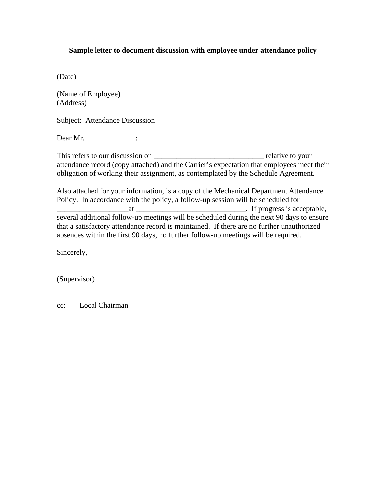### **Sample letter to document discussion with employee under attendance policy**

(Date)

(Name of Employee) (Address)

Subject: Attendance Discussion

Dear Mr. \_\_\_\_\_\_\_\_\_\_\_\_\_\_\_:

This refers to our discussion on \_\_\_\_\_\_\_\_\_\_\_\_\_\_\_\_\_\_\_\_\_\_\_\_\_\_\_\_\_ relative to your attendance record (copy attached) and the Carrier's expectation that employees meet their obligation of working their assignment, as contemplated by the Schedule Agreement.

Also attached for your information, is a copy of the Mechanical Department Attendance Policy. In accordance with the policy, a follow-up session will be scheduled for \_\_\_\_\_\_\_\_\_\_\_\_\_\_\_\_\_\_\_at \_\_\_\_\_\_\_\_\_\_\_\_\_\_\_\_\_\_\_\_\_\_\_\_\_\_\_\_\_. If progress is acceptable, several additional follow-up meetings will be scheduled during the next 90 days to ensure that a satisfactory attendance record is maintained. If there are no further unauthorized absences within the first 90 days, no further follow-up meetings will be required.

Sincerely,

(Supervisor)

cc: Local Chairman